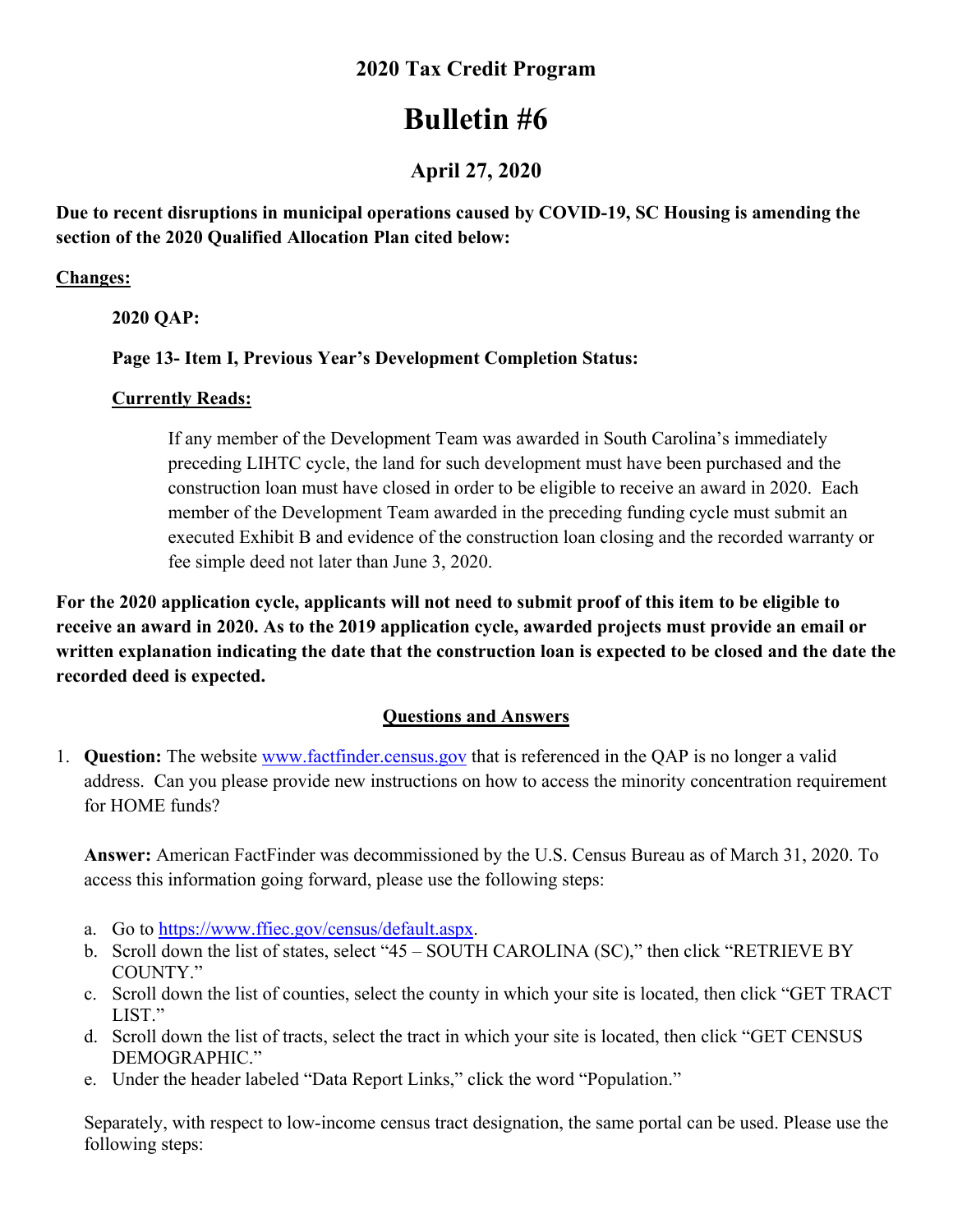### **2020 Tax Credit Program**

# **Bulletin #6**

## **April 27, 2020**

**Due to recent disruptions in municipal operations caused by COVID-19, SC Housing is amending the section of the 2020 Qualified Allocation Plan cited below:** 

#### **Changes:**

 **2020 QAP:** 

#### **Page 13- Item I, Previous Year's Development Completion Status:**

#### **Currently Reads:**

If any member of the Development Team was awarded in South Carolina's immediately preceding LIHTC cycle, the land for such development must have been purchased and the construction loan must have closed in order to be eligible to receive an award in 2020. Each member of the Development Team awarded in the preceding funding cycle must submit an executed Exhibit B and evidence of the construction loan closing and the recorded warranty or fee simple deed not later than June 3, 2020.

**For the 2020 application cycle, applicants will not need to submit proof of this item to be eligible to receive an award in 2020. As to the 2019 application cycle, awarded projects must provide an email or written explanation indicating the date that the construction loan is expected to be closed and the date the recorded deed is expected.** 

#### **Questions and Answers**

1. **Question:** The website www.factfinder.census.gov that is referenced in the QAP is no longer a valid address. Can you please provide new instructions on how to access the minority concentration requirement for HOME funds?

**Answer:** American FactFinder was decommissioned by the U.S. Census Bureau as of March 31, 2020. To access this information going forward, please use the following steps:

- a. Go to https://www.ffiec.gov/census/default.aspx.
- b. Scroll down the list of states, select "45 SOUTH CAROLINA (SC)," then click "RETRIEVE BY COUNTY."
- c. Scroll down the list of counties, select the county in which your site is located, then click "GET TRACT LIST."
- d. Scroll down the list of tracts, select the tract in which your site is located, then click "GET CENSUS DEMOGRAPHIC."
- e. Under the header labeled "Data Report Links," click the word "Population."

Separately, with respect to low-income census tract designation, the same portal can be used. Please use the following steps: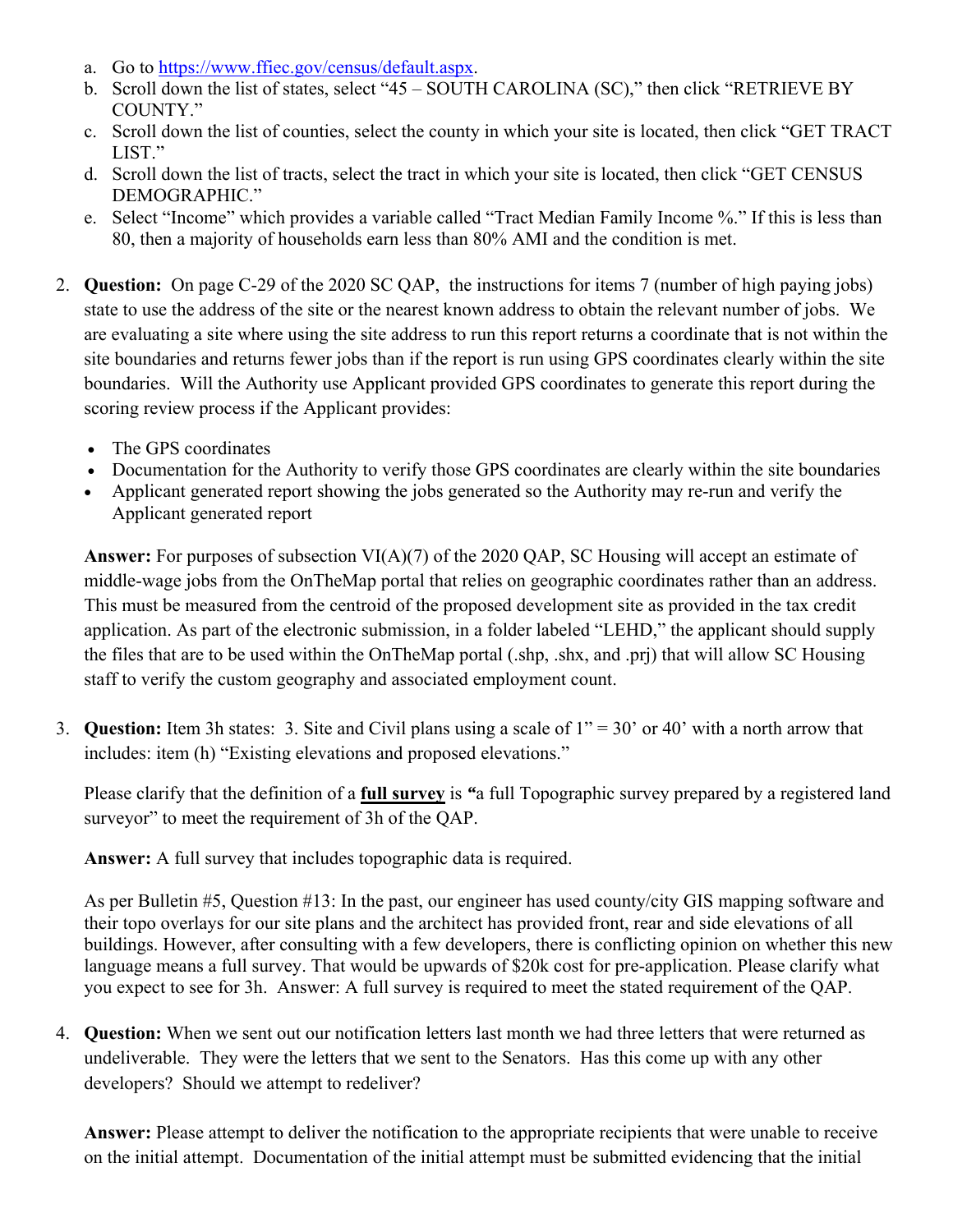- a. Go to https://www.ffiec.gov/census/default.aspx.
- b. Scroll down the list of states, select "45 SOUTH CAROLINA (SC)," then click "RETRIEVE BY COUNTY."
- c. Scroll down the list of counties, select the county in which your site is located, then click "GET TRACT LIST."
- d. Scroll down the list of tracts, select the tract in which your site is located, then click "GET CENSUS DEMOGRAPHIC."
- e. Select "Income" which provides a variable called "Tract Median Family Income %." If this is less than 80, then a majority of households earn less than 80% AMI and the condition is met.
- 2. **Question:** On page C-29 of the 2020 SC QAP, the instructions for items 7 (number of high paying jobs) state to use the address of the site or the nearest known address to obtain the relevant number of jobs. We are evaluating a site where using the site address to run this report returns a coordinate that is not within the site boundaries and returns fewer jobs than if the report is run using GPS coordinates clearly within the site boundaries. Will the Authority use Applicant provided GPS coordinates to generate this report during the scoring review process if the Applicant provides:
	- The GPS coordinates
	- Documentation for the Authority to verify those GPS coordinates are clearly within the site boundaries
	- Applicant generated report showing the jobs generated so the Authority may re-run and verify the Applicant generated report

**Answer:** For purposes of subsection VI(A)(7) of the 2020 QAP, SC Housing will accept an estimate of middle-wage jobs from the OnTheMap portal that relies on geographic coordinates rather than an address. This must be measured from the centroid of the proposed development site as provided in the tax credit application. As part of the electronic submission, in a folder labeled "LEHD," the applicant should supply the files that are to be used within the OnTheMap portal (.shp, .shx, and .prj) that will allow SC Housing staff to verify the custom geography and associated employment count.

3. **Question:** Item 3h states: 3. Site and Civil plans using a scale of 1" = 30' or 40' with a north arrow that includes: item (h) "Existing elevations and proposed elevations."

Please clarify that the definition of a **full survey** is *"*a full Topographic survey prepared by a registered land surveyor" to meet the requirement of 3h of the QAP.

**Answer:** A full survey that includes topographic data is required.

As per Bulletin #5, Question #13: In the past, our engineer has used county/city GIS mapping software and their topo overlays for our site plans and the architect has provided front, rear and side elevations of all buildings. However, after consulting with a few developers, there is conflicting opinion on whether this new language means a full survey. That would be upwards of \$20k cost for pre-application. Please clarify what you expect to see for 3h. Answer: A full survey is required to meet the stated requirement of the QAP.

4. **Question:** When we sent out our notification letters last month we had three letters that were returned as undeliverable. They were the letters that we sent to the Senators. Has this come up with any other developers? Should we attempt to redeliver?

**Answer:** Please attempt to deliver the notification to the appropriate recipients that were unable to receive on the initial attempt. Documentation of the initial attempt must be submitted evidencing that the initial